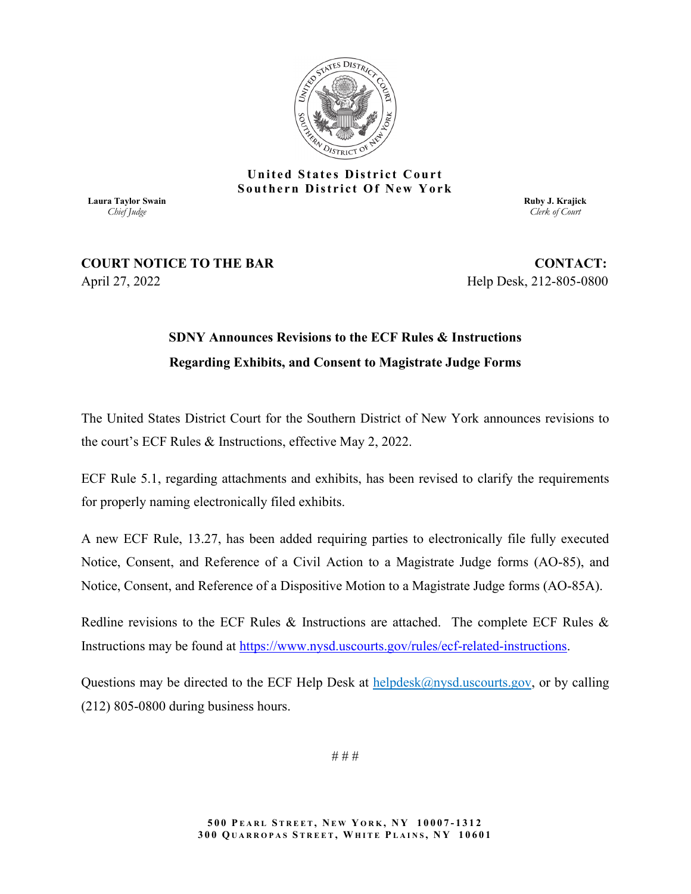

#### **United States District Court Southern District Of New York**

**Laura Taylor Swain** *Chief Judge*

**Ruby J. Krajick** *Clerk of Court*

### **COURT NOTICE TO THE BAR CONTACT:** April 27, 2022 Help Desk, 212-805-0800

## **SDNY Announces Revisions to the ECF Rules & Instructions Regarding Exhibits, and Consent to Magistrate Judge Forms**

The United States District Court for the Southern District of New York announces revisions to the court's ECF Rules & Instructions, effective May 2, 2022.

ECF Rule 5.1, regarding attachments and exhibits, has been revised to clarify the requirements for properly naming electronically filed exhibits.

A new ECF Rule, 13.27, has been added requiring parties to electronically file fully executed Notice, Consent, and Reference of a Civil Action to a Magistrate Judge forms (AO-85), and Notice, Consent, and Reference of a Dispositive Motion to a Magistrate Judge forms (AO-85A).

Redline revisions to the ECF Rules & Instructions are attached. The complete ECF Rules & Instructions may be found at [https://www.nysd.uscourts.gov/rules/ecf-related-instructions.](https://www.nysd.uscourts.gov/rules/ecf-related-instructions)

Questions may be directed to the ECF Help Desk at  $\frac{helpdesk(@nysd.uscourts.gov, or by calling$ (212) 805-0800 during business hours.

# # #